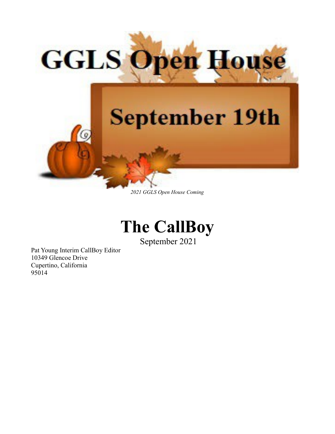

*2021 GGLS Open House Coming*



September 2021

Pat Young Interim CallBoy Editor 10349 Glencoe Drive Cupertino, California 95014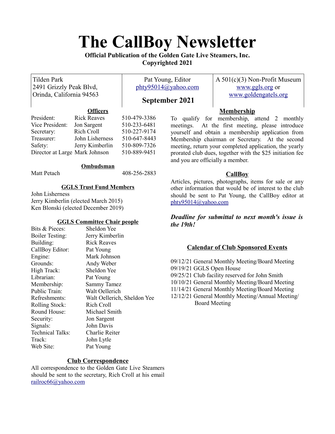# **The CallBoy Newsletter**

**Official Publication of the Golden Gate Live Steamers, Inc. Copyrighted 2021**

| <b>Tilden Park</b><br>2491 Grizzly Peak Blvd,<br>Orinda, California 94563                                                        |                    | Pat Young, Editor<br>$\frac{\text{phty95014}}{a}$ yahoo.com<br>September 2021 |                                                                                                                                                                                                | $A 501(c)(3)$ Non-Profit Museum<br>www.ggls.org or<br>www.goldengatels.org |
|----------------------------------------------------------------------------------------------------------------------------------|--------------------|-------------------------------------------------------------------------------|------------------------------------------------------------------------------------------------------------------------------------------------------------------------------------------------|----------------------------------------------------------------------------|
| <b>Officers</b>                                                                                                                  |                    |                                                                               |                                                                                                                                                                                                | <b>Membership</b>                                                          |
| President:                                                                                                                       | <b>Rick Reaves</b> | 510-479-3386                                                                  |                                                                                                                                                                                                | To qualify for membership, attend 2 monthly                                |
| Vice President:                                                                                                                  | Jon Sargent        | 510-233-6481                                                                  | meetings.                                                                                                                                                                                      | At the first meeting, please introduce                                     |
| Secretary:                                                                                                                       | Rich Croll         | 510-227-9174                                                                  |                                                                                                                                                                                                | yourself and obtain a membership application from                          |
| Treasurer:                                                                                                                       | John Lisherness    | 510-647-8443                                                                  | Membership chairman or Secretary. At the second                                                                                                                                                |                                                                            |
| Safety:                                                                                                                          | Jerry Kimberlin    | 510-809-7326                                                                  |                                                                                                                                                                                                | meeting, return your completed application, the yearly                     |
| Director at Large Mark Johnson                                                                                                   |                    | 510-889-9451                                                                  | prorated club dues, together with the \$25 initiation fee<br>and you are officially a member.                                                                                                  |                                                                            |
|                                                                                                                                  | Ombudsman          |                                                                               |                                                                                                                                                                                                |                                                                            |
| Matt Petach                                                                                                                      |                    | 408-256-2883                                                                  |                                                                                                                                                                                                | <b>CallBoy</b>                                                             |
| <b>GGLS Trust Fund Members</b><br>John Lisherness<br>Jerry Kimberlin (elected March 2015)<br>Ken Blonski (elected December 2019) |                    |                                                                               | Articles, pictures, photographs, items for sale or any<br>other information that would be of interest to the club<br>should be sent to Pat Young, the CallBoy editor at<br>phty95014@yahoo.com |                                                                            |
| <b>GGLS Committee Chair people</b><br>Sheldon Yee<br>Bits & Pieces:<br>Jerry Kimberlin<br><b>Boiler Testing:</b>                 |                    |                                                                               | the 19th!                                                                                                                                                                                      | Deadline for submittal to next month's issue is                            |

## **Calendar of Club Sponsored Events**

09/12/21 General Monthly Meeting/Board Meeting 09/19/21 GGLS Open House 09/25/21 Club facility reserved for John Smith 10/10/21 General Monthly Meeting/Board Meeting 11/14/21 General Monthly Meeting/Board Meeting 12/12/21 General Monthly Meeting/Annual Meeting/ Board Meeting

| Bits & Pieces:          | Sheldon Yee                 |
|-------------------------|-----------------------------|
| <b>Boiler Testing:</b>  | Jerry Kimberlin             |
| Building:               | <b>Rick Reaves</b>          |
| CallBoy Editor:         | Pat Young                   |
| Engine:                 | Mark Johnson                |
| Grounds:                | Andy Weber                  |
| High Track:             | Sheldon Yee                 |
| Librarian:              | Pat Young                   |
| Membership:             | <b>Sammy Tamez</b>          |
| Public Train:           | Walt Oellerich              |
| Refreshments:           | Walt Oellerich, Sheldon Yee |
| Rolling Stock:          | Rich Croll                  |
| Round House:            | Michael Smith               |
| Security:               | Jon Sargent                 |
| Signals:                | John Davis                  |
| <b>Technical Talks:</b> | Charlie Reiter              |
| Track:                  | John Lytle                  |
| Web Site:               | Pat Young                   |
|                         |                             |

## **Club Correspondence**

All correspondence to the Golden Gate Live Steamers should be sent to the secretary, Rich Croll at his email [railroc66@yahoo.com](mailto:railroc66@yahoo.com)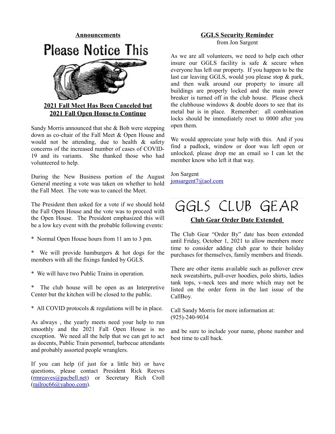

## **2021 Fall Meet Has Been Canceled but 2021 Fall Open House to Continue**

Sandy Morris announced that she & Bob were stepping down as co-chair of the Fall Meet & Open House and would not be attending, due to health  $\&$  safety concerns of the increased number of cases of COVID-19 and its variants. She thanked those who had volunteered to help.

During the New Business portion of the August General meeting a vote was taken on whether to hold the Fall Meet. The vote was to cancel the Meet.

The President then asked for a vote if we should hold the Fall Open House and the vote was to proceed with the Open House. The President emphasized this will be a low key event with the probable following events:

- \* Normal Open House hours from 11 am to 3 pm.
- \* We will provide hamburgers & hot dogs for the members with all the fixings funded by GGLS.
- \* We will have two Public Trains in operation.

\* The club house will be open as an Interpretive Center but the kitchen will be closed to the public.

\* All COVID protocols & regulations will be in place.

As always , the yearly meets need your help to run smoothly and the 2021 Fall Open House is no exception. We need all the help that we can get to act as docents, Public Train personnel, barbecue attendants and probably assorted people wranglers.

If you can help (if just for a little bit) or have questions, please contact President Rick Reeves [\(rmreaves@pacbell.net\)](mailto:rmreaves@pacbell.net) or Secretary Rich Croll [\(railroc66@yahoo.com\)](mailto:railroc66@yahoo.com).

## **GGLS Security Reminder** from Jon Sargent

As we are all volunteers, we need to help each other insure our GGLS facility is safe & secure when everyone has left our property. If you happen to be the last car leaving GGLS, would you please stop & park, and then walk around our property to insure all buildings are properly locked and the main power breaker is turned off in the club house. Please check the clubhouse windows  $\&$  double doors to see that its metal bar is in place. Remember: all combination locks should be immediately reset to 0000 after you open them.

We would appreciate your help with this. And if you find a padlock, window or door was left open or unlocked, please drop me an email so I can let the member know who left it that way.

Jon Sargent [jonsargent7@aol.com](mailto:jonsargent7@aol.com)

## GGLS CLUB GEAR

## **Club Gear Order Date Extended**

The Club Gear "Order By" date has been extended until Friday, October 1, 2021 to allow members more time to consider adding club gear to their holiday purchases for themselves, family members and friends.

There are other items available such as pullover crew neck sweatshirts, pull-over hoodies, polo shirts, ladies tank tops, v-neck tees and more which may not be listed on the order form in the last issue of the CallBoy.

Call Sandy Morris for more information at: (925)-240-9034

and be sure to include your name, phone number and best time to call back.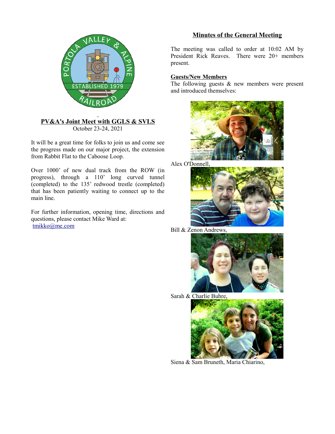

#### **PV&A's Joint Meet with GGLS & SVLS** October 23-24, 2021

It will be a great time for folks to join us and come see the progress made on our major project, the extension from Rabbit Flat to the Caboose Loop.

Over 1000' of new dual track from the ROW (in progress), through a 110' long curved tunnel (completed) to the 135' redwood trestle (completed) that has been patiently waiting to connect up to the main line.

For further information, opening time, directions and questions, please contact Mike Ward at: [tmikko@me.com](mailto:tmikko@me.com)

## **Minutes of the General Meeting**

The meeting was called to order at 10:02 AM by President Rick Reaves. There were 20+ members present.

## **Guests/New Members**

The following guests & new members were present and introduced themselves:



Alex O'Donnell,



Bill & Zenon Andrews,



Sarah & Charlie Buhre,



Siena & Sam Bruneth, Maria Chiarino,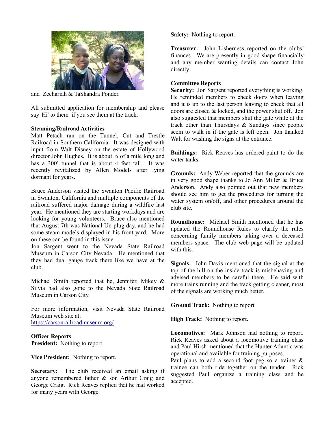

and Zechariah & TaShandra Ponder.

All submitted application for membership and please say 'Hi' to them if you see them at the track.

#### **Steaming/Railroad Activities**

Matt Petach ran on the Tunnel, Cut and Trestle Railroad in Southern California. It was designed with input from Walt Disney on the estate of Hollywood director John Hughes. It is about  $\frac{3}{4}$  of a mile long and has a 300' tunnel that is about 4 feet tall. It was recently revitalized by Allen Models after lying dormant for years.

Bruce Anderson visited the Swanton Pacific Railroad in Swanton, California and multiple components of the railroad suffered major damage during a wildfire last year. He mentioned they are starting workdays and are looking for young volunteers. Bruce also mentioned that August 7th was National Un-plug day, and he had some steam models displayed in his front yard. More on these can be found in this issue.

Jon Sargent went to the Nevada State Railroad Museum in Carson City Nevada. He mentioned that they had dual gauge track there like we have at the club.

Michael Smith reported that he, Jennifer, Mikey & Silvia had also gone to the Nevada State Railroad Museum in Carson City.

For more information, visit Nevada State Railroad Museum web site at: <https://carsonrailroadmuseum.org/>

#### **Officer Reports**

**President:** Nothing to report.

**Vice President:** Nothing to report.

**Secretary:** The club received an email asking if anyone remembered father & son Arthur Craig and George Craig. Rick Reaves replied that he had worked for many years with George.

**Safety:** Nothing to report.

**Treasurer:** John Lisherness reported on the clubs' finances. We are presently in good shape financially and any member wanting details can contact John directly.

#### **Committee Reports**

**Security:** Jon Sargent reported everything is working. He reminded members to check doors when leaving and it is up to the last person leaving to check that all doors are closed & locked, and the power shut off. Jon also suggested that members shut the gate while at the track other than Thursdays & Sundays since people seem to walk in if the gate is left open. Jon thanked Walt for washing the signs at the entrance.

**Buildings:** Rick Reaves has ordered paint to do the water tanks.

**Grounds:** Andy Weber reported that the grounds are in very good shape thanks to Jo Ann Miller & Bruce Anderson. Andy also pointed out that new members should see him to get the procedures for turning the water system on/off, and other procedures around the club site.

**Roundhouse:** Michael Smith mentioned that he has updated the Roundhouse Rules to clarify the rules concerning family members taking over a deceased members space. The club web page will be updated with this.

**Signals:** John Davis mentioned that the signal at the top of the hill on the inside track is misbehaving and advised members to be careful there. He said with more trains running and the track getting cleaner, most of the signals are working much better..

**Ground Track:** Nothing to report.

**High Track:** Nothing to report.

**Locomotives:** Mark Johnson had nothing to report. Rick Reaves asked about a locomotive training class and Paul Hirsh mentioned that the Hunter Atlantic was operational and available for training purposes.

Paul plans to add a second foot peg so a trainer  $\&$ trainee can both ride together on the tender. Rick suggested Paul organize a training class and he accepted.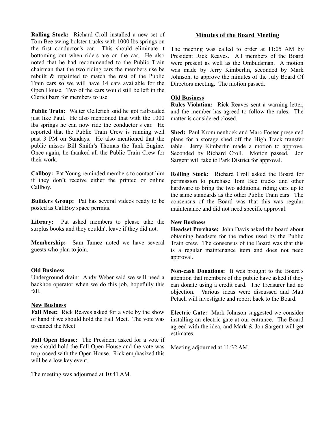**Rolling Stock:** Richard Croll installed a new set of Tom Bee swing bolster trucks with 1000 lbs springs on the first conductor's car. This should eliminate it bottoming out when riders are on the car. He also noted that he had recommended to the Public Train chairman that the two riding cars the members use be rebuilt & repainted to match the rest of the Public Train cars so we will have 14 cars available for the Open House. Two of the cars would still be left in the Clerici barn for members to use.

**Public Train:** Walter Oellerich said he got railroaded just like Paul. He also mentioned that with the 1000 lbs springs he can now ride the conductor's car. He reported that the Public Train Crew is running well past 3 PM on Sundays. He also mentioned that the public misses Bill Smith's Thomas the Tank Engine. Once again, he thanked all the Public Train Crew for their work.

**Callboy:** Pat Young reminded members to contact him if they don't receive either the printed or online Callboy.

**Builders Group:** Pat has several videos ready to be posted as CallBoy space permits.

**Library:** Pat asked members to please take the surplus books and they couldn't leave if they did not.

**Membership:** Sam Tamez noted we have several guests who plan to join.

#### **Old Business**

Underground drain: Andy Weber said we will need a backhoe operator when we do this job, hopefully this fall.

#### **New Business**

**Fall Meet:** Rick Reaves asked for a vote by the show of hand if we should hold the Fall Meet. The vote was to cancel the Meet.

**Fall Open House:** The President asked for a vote if we should hold the Fall Open House and the vote was to proceed with the Open House. Rick emphasized this will be a low key event.

The meeting was adjourned at 10:41 AM.

#### **Minutes of the Board Meeting**

The meeting was called to order at 11:05 AM by President Rick Reaves. All members of the Board were present as well as the Ombudsman. A motion was made by Jerry Kimberlin, seconded by Mark Johnson, to approve the minutes of the July Board Of Directors meeting. The motion passed.

#### **Old Business**

**Rules Violation:** Rick Reaves sent a warning letter, and the member has agreed to follow the rules. The matter is considered closed.

**Shed:** Paul Krommenhoek and Marc Foster presented plans for a storage shed off the High Track transfer table. Jerry Kimberlin made a motion to approve. Seconded by Richard Croll. Motion passed. Jon Sargent will take to Park District for approval.

**Rolling Stock:** Richard Croll asked the Board for permission to purchase Tom Bee trucks and other hardware to bring the two additional riding cars up to the same standards as the other Public Train cars. The consensus of the Board was that this was regular maintenance and did not need specific approval.

#### **New Business**

**Headset Purchase:** John Davis asked the board about obtaining headsets for the radios used by the Public Train crew. The consensus of the Board was that this is a regular maintenance item and does not need approval.

**Non-cash Donations:** It was brought to the Board's attention that members of the public have asked if they can donate using a credit card. The Treasurer had no objection. Various ideas were discussed and Matt Petach will investigate and report back to the Board.

**Electric Gate:** Mark Johnson suggested we consider installing an electric gate at our entrance. The Board agreed with the idea, and Mark & Jon Sargent will get estimates.

Meeting adjourned at 11:32 AM.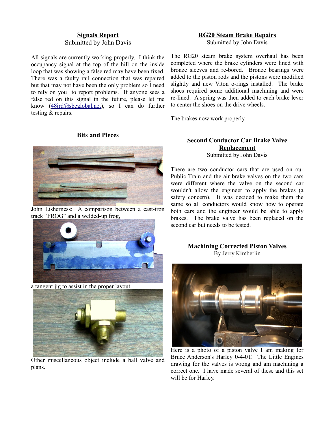#### **Signals Report** Submitted by John Davis

All signals are currently working properly. I think the occupancy signal at the top of the hill on the inside loop that was showing a false red may have been fixed. There was a faulty rail connection that was repaired but that may not have been the only problem so I need to rely on you to report problems. If anyone sees a false red on this signal in the future, please let me know [\(48jrd@sbcglobal.net\)](mailto:48jrd@sbcglobal.net), so I can do further testing & repairs.

#### **Bits and Pieces**



John Lisherness: A comparison between a cast-iron track "FROG" and a welded-up frog,



a tangent jig to assist in the proper layout.



Other miscellaneous object include a ball valve and plans.

## **RG20 Steam Brake Repairs**

Submitted by John Davis

The RG20 steam brake system overhaul has been completed where the brake cylinders were lined with bronze sleeves and re-bored. Bronze bearings were added to the piston rods and the pistons were modified slightly and new Viton o-rings installed. The brake shoes required some additional machining and were re-lined. A spring was then added to each brake lever to center the shoes on the drive wheels.

The brakes now work properly.

#### **Second Conductor Car Brake Valve Replacement** Submitted by John Davis

There are two conductor cars that are used on our Public Train and the air brake valves on the two cars were different where the valve on the second car wouldn't allow the engineer to apply the brakes (a safety concern). It was decided to make them the same so all conductors would know how to operate both cars and the engineer would be able to apply brakes. The brake valve has been replaced on the second car but needs to be tested.

#### **Machining Corrected Piston Valves** By Jerry Kimberlin



Here is a photo of a piston valve I am making for Bruce Anderson's Harley 0-4-0T. The Little Engines drawing for the valves is wrong and am machining a correct one. I have made several of these and this set will be for Harley.